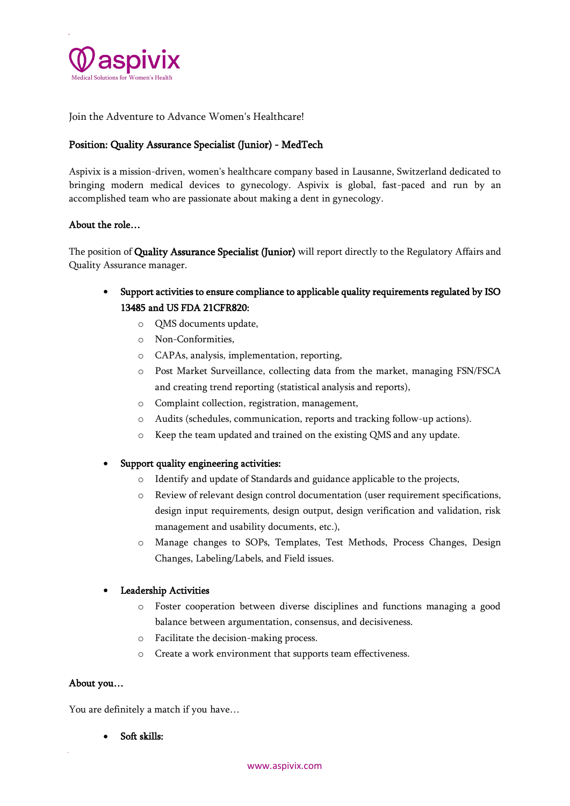

Join the Adventure to Advance Women's Healthcare!

# Position: Quality Assurance Specialist (Junior) - MedTech

Aspivix is a mission-driven, women's healthcare company based in Lausanne, Switzerland dedicated to bringing modern medical devices to gynecology. Aspivix is global, fast-paced and run by an accomplished team who are passionate about making a dent in gynecology.

### About the role…

The position of Quality Assurance Specialist (Junior) will report directly to the Regulatory Affairs and Quality Assurance manager.

- Support activities to ensure compliance to applicable quality requirements regulated by ISO 13485 and US FDA 21CFR820:
	- o QMS documents update,
	- o Non-Conformities,
	- o CAPAs, analysis, implementation, reporting,
	- o Post Market Surveillance, collecting data from the market, managing FSN/FSCA and creating trend reporting (statistical analysis and reports),
	- o Complaint collection, registration, management,
	- o Audits (schedules, communication, reports and tracking follow-up actions).
	- o Keep the team updated and trained on the existing QMS and any update.
- Support quality engineering activities:
	- o Identify and update of Standards and guidance applicable to the projects,
	- o Review of relevant design control documentation (user requirement specifications, design input requirements, design output, design verification and validation, risk management and usability documents, etc.),
	- o Manage changes to SOPs, Templates, Test Methods, Process Changes, Design Changes, Labeling/Labels, and Field issues.

#### Leadership Activities

- o Foster cooperation between diverse disciplines and functions managing a good balance between argumentation, consensus, and decisiveness.
- o Facilitate the decision-making process.
- o Create a work environment that supports team effectiveness.

#### About you…

You are definitely a match if you have…

• Soft skills: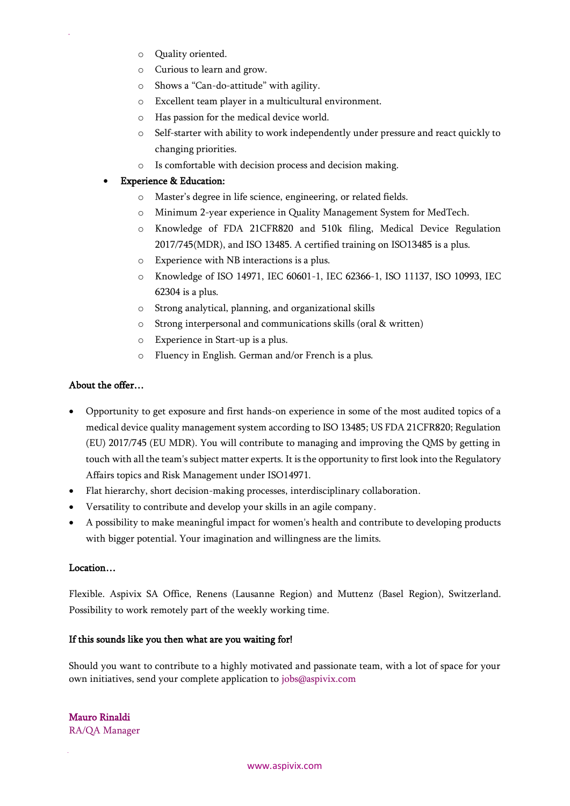- o Quality oriented.
- o Curious to learn and grow.
- o Shows a "Can-do-attitude" with agility.
- o Excellent team player in a multicultural environment.
- o Has passion for the medical device world.
- o Self-starter with ability to work independently under pressure and react quickly to changing priorities.
- o Is comfortable with decision process and decision making.

# **Experience & Education:**

- o Master's degree in life science, engineering, or related fields.
- o Minimum 2-year experience in Quality Management System for MedTech.
- o Knowledge of FDA 21CFR820 and 510k filing, Medical Device Regulation 2017/745(MDR), and ISO 13485. A certified training on ISO13485 is a plus.
- o Experience with NB interactions is a plus.
- o Knowledge of ISO 14971, IEC 60601-1, IEC 62366-1, ISO 11137, ISO 10993, IEC 62304 is a plus.
- o Strong analytical, planning, and organizational skills
- o Strong interpersonal and communications skills (oral & written)
- o Experience in Start-up is a plus.
- o Fluency in English. German and/or French is a plus.

# About the offer…

- Opportunity to get exposure and first hands-on experience in some of the most audited topics of a medical device quality management system according to ISO 13485; US FDA 21CFR820; Regulation (EU) 2017/745 (EU MDR). You will contribute to managing and improving the QMS by getting in touch with all the team's subject matter experts. It is the opportunity to first look into the Regulatory Affairs topics and Risk Management under ISO14971.
- Flat hierarchy, short decision-making processes, interdisciplinary collaboration.
- Versatility to contribute and develop your skills in an agile company.
- A possibility to make meaningful impact for women's health and contribute to developing products with bigger potential. Your imagination and willingness are the limits.

# Location…

Flexible. Aspivix SA Office, Renens (Lausanne Region) and Muttenz (Basel Region), Switzerland. Possibility to work remotely part of the weekly working time.

# If this sounds like you then what are you waiting for!

Should you want to contribute to a highly motivated and passionate team, with a lot of space for your own initiatives, send your complete application to jobs@aspivix.com

Mauro Rinaldi RA/QA Manager